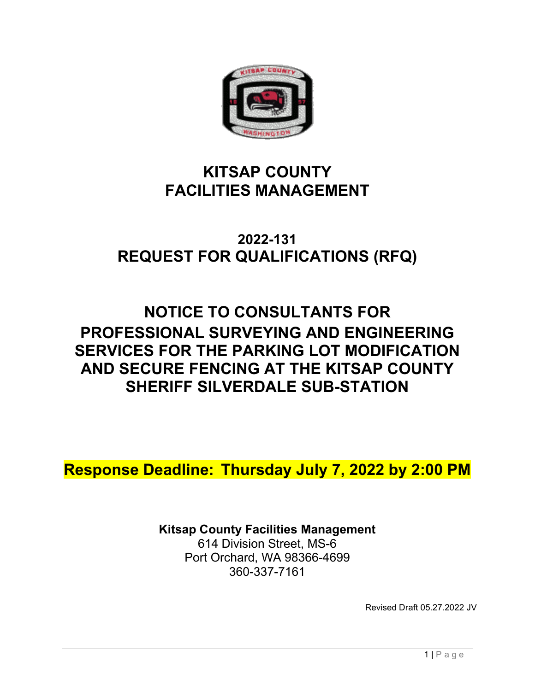

# **KITSAP COUNTY FACILITIES MANAGEMENT**

# **2022-131 REQUEST FOR QUALIFICATIONS (RFQ)**

# **NOTICE TO CONSULTANTS FOR PROFESSIONAL SURVEYING AND ENGINEERING SERVICES FOR THE PARKING LOT MODIFICATION AND SECURE FENCING AT THE KITSAP COUNTY SHERIFF SILVERDALE SUB-STATION**

**Response Deadline: Thursday July 7, 2022 by 2:00 PM**

**Kitsap County Facilities Management**  614 Division Street, MS-6 Port Orchard, WA 98366-4699

360-337-7161

Revised Draft 05.27.2022 JV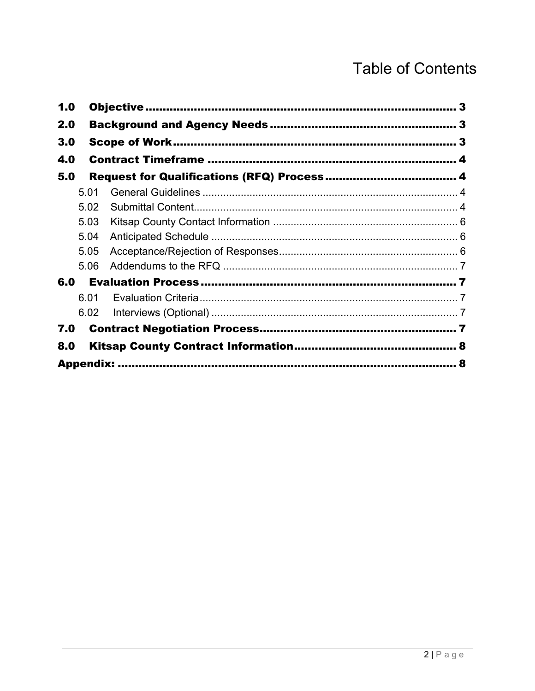# **Table of Contents**

| 1.0 |      |  |
|-----|------|--|
| 2.0 |      |  |
| 3.0 |      |  |
| 4.0 |      |  |
| 5.0 |      |  |
|     | 5.01 |  |
|     | 5.02 |  |
|     | 5.03 |  |
|     | 5.04 |  |
|     | 5.05 |  |
|     | 5.06 |  |
| 6.0 |      |  |
|     | 6.01 |  |
|     | 6.02 |  |
| 7.0 |      |  |
| 8.0 |      |  |
|     |      |  |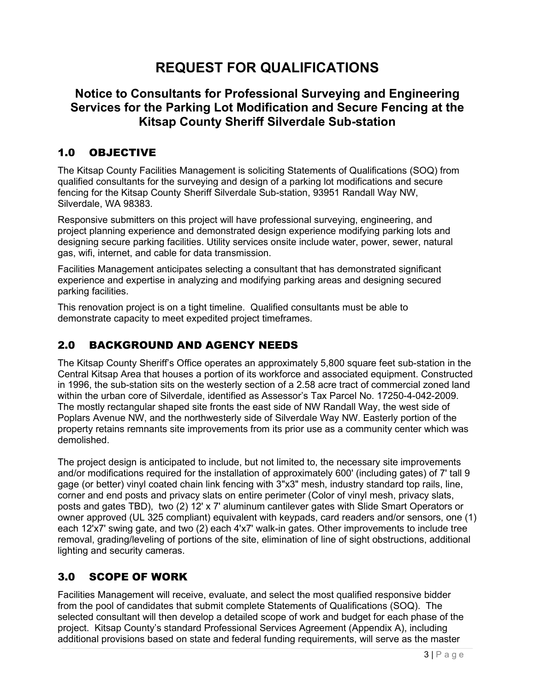## **REQUEST FOR QUALIFICATIONS**

## **Notice to Consultants for Professional Surveying and Engineering Services for the Parking Lot Modification and Secure Fencing at the Kitsap County Sheriff Silverdale Sub-station**

## <span id="page-2-0"></span>1.0 OBJECTIVE

The Kitsap County Facilities Management is soliciting Statements of Qualifications (SOQ) from qualified consultants for the surveying and design of a parking lot modifications and secure fencing for the Kitsap County Sheriff Silverdale Sub-station, 93951 Randall Way NW, Silverdale, WA 98383.

Responsive submitters on this project will have professional surveying, engineering, and project planning experience and demonstrated design experience modifying parking lots and designing secure parking facilities. Utility services onsite include water, power, sewer, natural gas, wifi, internet, and cable for data transmission.

Facilities Management anticipates selecting a consultant that has demonstrated significant experience and expertise in analyzing and modifying parking areas and designing secured parking facilities.

This renovation project is on a tight timeline. Qualified consultants must be able to demonstrate capacity to meet expedited project timeframes.

## <span id="page-2-1"></span>2.0 BACKGROUND AND AGENCY NEEDS

The Kitsap County Sheriff's Office operates an approximately 5,800 square feet sub-station in the Central Kitsap Area that houses a portion of its workforce and associated equipment. Constructed in 1996, the sub-station sits on the westerly section of a 2.58 acre tract of commercial zoned land within the urban core of Silverdale, identified as Assessor's Tax Parcel No. 17250-4-042-2009. The mostly rectangular shaped site fronts the east side of NW Randall Way, the west side of Poplars Avenue NW, and the northwesterly side of Silverdale Way NW. Easterly portion of the property retains remnants site improvements from its prior use as a community center which was demolished.

The project design is anticipated to include, but not limited to, the necessary site improvements and/or modifications required for the installation of approximately 600' (including gates) of 7' tall 9 gage (or better) vinyl coated chain link fencing with 3"x3" mesh, industry standard top rails, line, corner and end posts and privacy slats on entire perimeter (Color of vinyl mesh, privacy slats, posts and gates TBD), two (2) 12' x 7' aluminum cantilever gates with Slide Smart Operators or owner approved (UL 325 compliant) equivalent with keypads, card readers and/or sensors, one (1) each 12'x7' swing gate, and two (2) each 4'x7' walk-in gates. Other improvements to include tree removal, grading/leveling of portions of the site, elimination of line of sight obstructions, additional lighting and security cameras.

## <span id="page-2-2"></span>3.0 SCOPE OF WORK

Facilities Management will receive, evaluate, and select the most qualified responsive bidder from the pool of candidates that submit complete Statements of Qualifications (SOQ). The selected consultant will then develop a detailed scope of work and budget for each phase of the project. Kitsap County's standard Professional Services Agreement (Appendix A), including additional provisions based on state and federal funding requirements, will serve as the master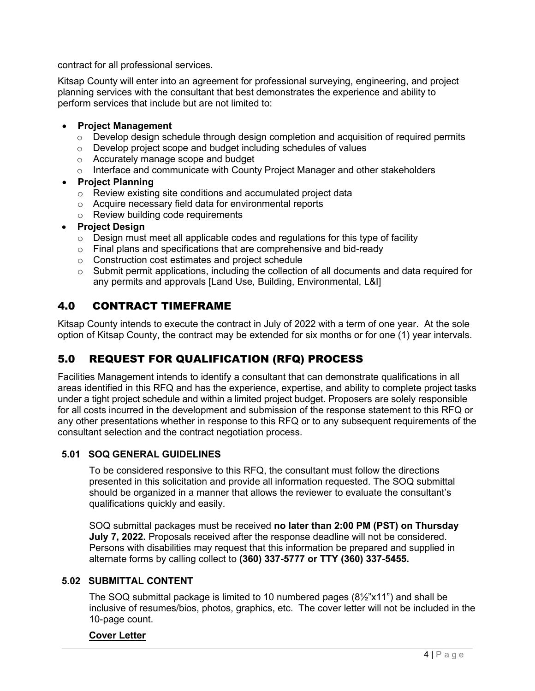contract for all professional services.

Kitsap County will enter into an agreement for professional surveying, engineering, and project planning services with the consultant that best demonstrates the experience and ability to perform services that include but are not limited to:

## • **Project Management**

- $\circ$  Develop design schedule through design completion and acquisition of required permits
- o Develop project scope and budget including schedules of values
- o Accurately manage scope and budget
- o Interface and communicate with County Project Manager and other stakeholders
- **Project Planning**
	- o Review existing site conditions and accumulated project data
	- o Acquire necessary field data for environmental reports
	- o Review building code requirements
- **Project Design**
	- $\circ$  Design must meet all applicable codes and regulations for this type of facility
	- o Final plans and specifications that are comprehensive and bid-ready
	- o Construction cost estimates and project schedule
	- $\circ$  Submit permit applications, including the collection of all documents and data required for any permits and approvals [Land Use, Building, Environmental, L&I]

## <span id="page-3-0"></span>4.0 CONTRACT TIMEFRAME

Kitsap County intends to execute the contract in July of 2022 with a term of one year. At the sole option of Kitsap County, the contract may be extended for six months or for one (1) year intervals.

## <span id="page-3-1"></span>5.0 REQUEST FOR QUALIFICATION (RFQ) PROCESS

Facilities Management intends to identify a consultant that can demonstrate qualifications in all areas identified in this RFQ and has the experience, expertise, and ability to complete project tasks under a tight project schedule and within a limited project budget. Proposers are solely responsible for all costs incurred in the development and submission of the response statement to this RFQ or any other presentations whether in response to this RFQ or to any subsequent requirements of the consultant selection and the contract negotiation process.

## <span id="page-3-2"></span>**5.01 SOQ GENERAL GUIDELINES**

To be considered responsive to this RFQ, the consultant must follow the directions presented in this solicitation and provide all information requested. The SOQ submittal should be organized in a manner that allows the reviewer to evaluate the consultant's qualifications quickly and easily.

SOQ submittal packages must be received **no later than 2:00 PM (PST) on Thursday July 7, 2022.** Proposals received after the response deadline will not be considered. Persons with disabilities may request that this information be prepared and supplied in alternate forms by calling collect to **(360) 337-5777 or TTY (360) 337-5455.**

## <span id="page-3-3"></span>**5.02 SUBMITTAL CONTENT**

The SOQ submittal package is limited to 10 numbered pages  $(8\frac{1}{2}x^2)(1)^n$  and shall be inclusive of resumes/bios, photos, graphics, etc. The cover letter will not be included in the 10-page count.

## **Cover Letter**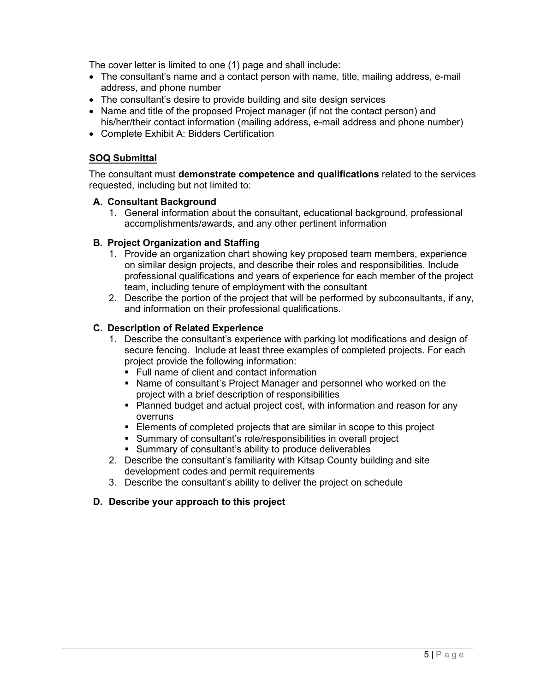The cover letter is limited to one (1) page and shall include:

- The consultant's name and a contact person with name, title, mailing address, e-mail address, and phone number
- The consultant's desire to provide building and site design services
- Name and title of the proposed Project manager (if not the contact person) and his/her/their contact information (mailing address, e-mail address and phone number)
- Complete Exhibit A: Bidders Certification

## **SOQ Submittal**

The consultant must **demonstrate competence and qualifications** related to the services requested, including but not limited to:

#### **A. Consultant Background**

1. General information about the consultant, educational background, professional accomplishments/awards, and any other pertinent information

## **B. Project Organization and Staffing**

- 1. Provide an organization chart showing key proposed team members, experience on similar design projects, and describe their roles and responsibilities. Include professional qualifications and years of experience for each member of the project team, including tenure of employment with the consultant
- 2. Describe the portion of the project that will be performed by subconsultants, if any, and information on their professional qualifications.

#### **C. Description of Related Experience**

- 1. Describe the consultant's experience with parking lot modifications and design of secure fencing. Include at least three examples of completed projects. For each project provide the following information:
	- Full name of client and contact information
	- Name of consultant's Project Manager and personnel who worked on the project with a brief description of responsibilities
	- Planned budget and actual project cost, with information and reason for any overruns
	- **Elements of completed projects that are similar in scope to this project**
	- Summary of consultant's role/responsibilities in overall project
	- Summary of consultant's ability to produce deliverables
- 2. Describe the consultant's familiarity with Kitsap County building and site development codes and permit requirements
- 3. Describe the consultant's ability to deliver the project on schedule

#### **D. Describe your approach to this project**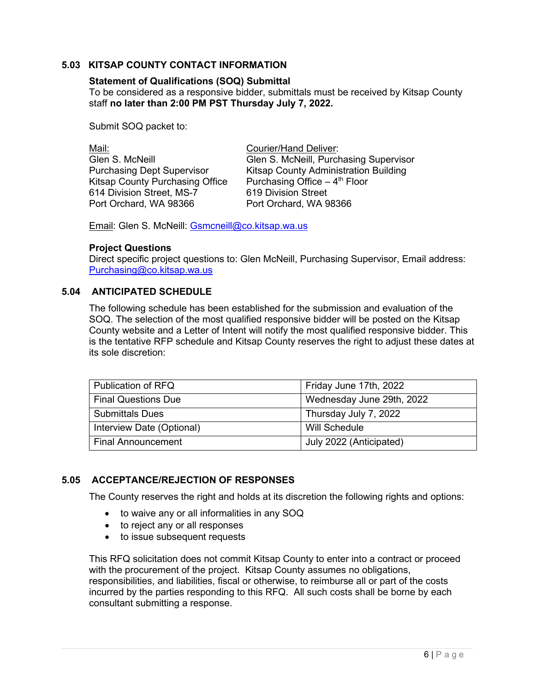## <span id="page-5-0"></span>**5.03 KITSAP COUNTY CONTACT INFORMATION**

## **Statement of Qualifications (SOQ) Submittal**

To be considered as a responsive bidder, submittals must be received by Kitsap County staff **no later than 2:00 PM PST Thursday July 7, 2022.**

Submit SOQ packet to:

| Mail:                             | <b>Courier/Hand Deliver:</b>           |
|-----------------------------------|----------------------------------------|
| Glen S. McNeill                   | Glen S. McNeill, Purchasing Supervisor |
| <b>Purchasing Dept Supervisor</b> | Kitsap County Administration Building  |
| Kitsap County Purchasing Office   | Purchasing Office $-4th$ Floor         |
| 614 Division Street, MS-7         | 619 Division Street                    |
| Port Orchard, WA 98366            | Port Orchard, WA 98366                 |
|                                   |                                        |

Email: Glen S. McNeill: [Gsmcneill@co.kitsap.wa.us](mailto:Gsmcneill@co.kitsap.wa.us)

#### **Project Questions**

Direct specific project questions to: Glen McNeill, Purchasing Supervisor, Email address: [Purchasing@co.kitsap.wa.us](mailto:Purchasing@co.kitsap.wa.us) 

#### <span id="page-5-1"></span>**5.04 ANTICIPATED SCHEDULE**

The following schedule has been established for the submission and evaluation of the SOQ. The selection of the most qualified responsive bidder will be posted on the Kitsap County website and a Letter of Intent will notify the most qualified responsive bidder. This is the tentative RFP schedule and Kitsap County reserves the right to adjust these dates at its sole discretion:

| Publication of RFQ         | Friday June 17th, 2022    |
|----------------------------|---------------------------|
| <b>Final Questions Due</b> | Wednesday June 29th, 2022 |
| <b>Submittals Dues</b>     | Thursday July 7, 2022     |
| Interview Date (Optional)  | Will Schedule             |
| <b>Final Announcement</b>  | July 2022 (Anticipated)   |

## <span id="page-5-2"></span>**5.05 ACCEPTANCE/REJECTION OF RESPONSES**

The County reserves the right and holds at its discretion the following rights and options:

- to waive any or all informalities in any SOQ
- to reject any or all responses
- to issue subsequent requests

This RFQ solicitation does not commit Kitsap County to enter into a contract or proceed with the procurement of the project. Kitsap County assumes no obligations, responsibilities, and liabilities, fiscal or otherwise, to reimburse all or part of the costs incurred by the parties responding to this RFQ. All such costs shall be borne by each consultant submitting a response.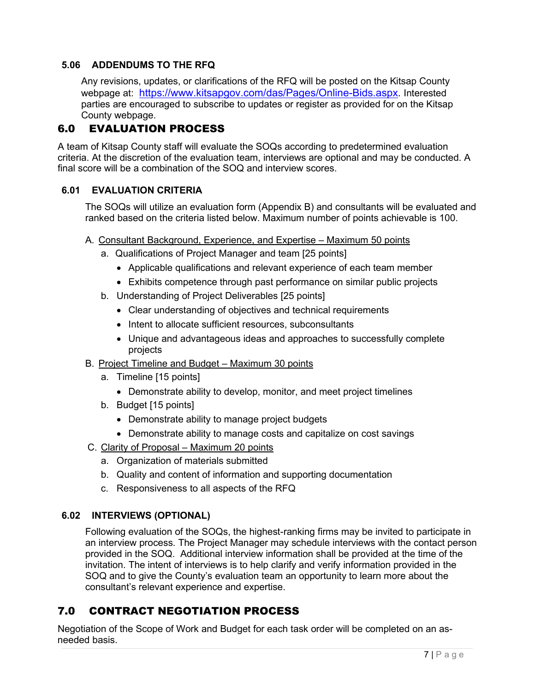## <span id="page-6-0"></span>**5.06 ADDENDUMS TO THE RFQ**

Any revisions, updates, or clarifications of the RFQ will be posted on the Kitsap County webpage at: [https://www.kitsapgov.com/das/Pages/Online-Bids.aspx.](https://www.kitsapgov.com/das/Pages/Online-Bids.aspx) Interested parties are encouraged to subscribe to updates or register as provided for on the Kitsap County webpage.

## <span id="page-6-1"></span>6.0 EVALUATION PROCESS

A team of Kitsap County staff will evaluate the SOQs according to predetermined evaluation criteria. At the discretion of the evaluation team, interviews are optional and may be conducted. A final score will be a combination of the SOQ and interview scores.

## <span id="page-6-2"></span>**6.01 EVALUATION CRITERIA**

The SOQs will utilize an evaluation form (Appendix B) and consultants will be evaluated and ranked based on the criteria listed below. Maximum number of points achievable is 100.

- A. Consultant Background, Experience, and Expertise Maximum 50 points
	- a. Qualifications of Project Manager and team [25 points]
		- Applicable qualifications and relevant experience of each team member
		- Exhibits competence through past performance on similar public projects
	- b. Understanding of Project Deliverables [25 points]
		- Clear understanding of objectives and technical requirements
		- Intent to allocate sufficient resources, subconsultants
		- Unique and advantageous ideas and approaches to successfully complete projects
- B. Project Timeline and Budget Maximum 30 points
	- a. Timeline [15 points]
		- Demonstrate ability to develop, monitor, and meet project timelines
	- b. Budget [15 points]
		- Demonstrate ability to manage project budgets
		- Demonstrate ability to manage costs and capitalize on cost savings
- C. Clarity of Proposal Maximum 20 points
	- a. Organization of materials submitted
	- b. Quality and content of information and supporting documentation
	- c. Responsiveness to all aspects of the RFQ

## <span id="page-6-3"></span>**6.02 INTERVIEWS (OPTIONAL)**

Following evaluation of the SOQs, the highest-ranking firms may be invited to participate in an interview process. The Project Manager may schedule interviews with the contact person provided in the SOQ. Additional interview information shall be provided at the time of the invitation. The intent of interviews is to help clarify and verify information provided in the SOQ and to give the County's evaluation team an opportunity to learn more about the consultant's relevant experience and expertise.

## <span id="page-6-4"></span>7.0 CONTRACT NEGOTIATION PROCESS

Negotiation of the Scope of Work and Budget for each task order will be completed on an asneeded basis.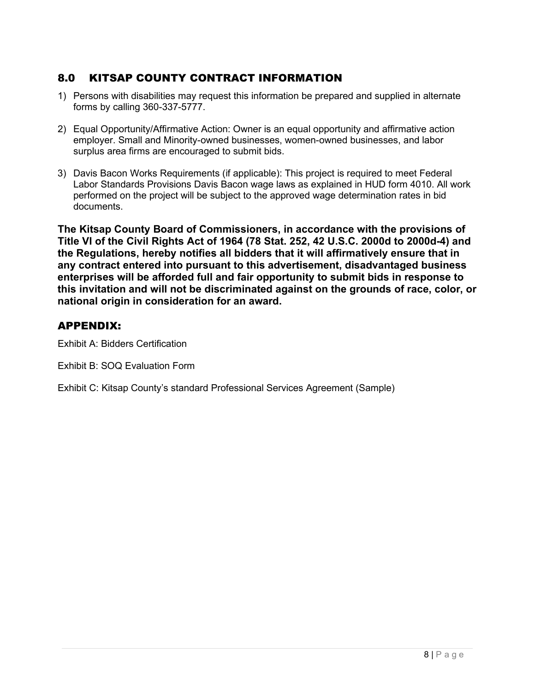## <span id="page-7-0"></span>8.0 KITSAP COUNTY CONTRACT INFORMATION

- 1) Persons with disabilities may request this information be prepared and supplied in alternate forms by calling 360-337-5777.
- 2) Equal Opportunity/Affirmative Action: Owner is an equal opportunity and affirmative action employer. Small and Minority-owned businesses, women-owned businesses, and labor surplus area firms are encouraged to submit bids.
- 3) Davis Bacon Works Requirements (if applicable): This project is required to meet Federal Labor Standards Provisions Davis Bacon wage laws as explained in HUD form 4010. All work performed on the project will be subject to the approved wage determination rates in bid documents.

**The Kitsap County Board of Commissioners, in accordance with the provisions of Title VI of the Civil Rights Act of 1964 (78 Stat. 252, 42 U.S.C. 2000d to 2000d-4) and the Regulations, hereby notifies all bidders that it will affirmatively ensure that in any contract entered into pursuant to this advertisement, disadvantaged business enterprises will be afforded full and fair opportunity to submit bids in response to this invitation and will not be discriminated against on the grounds of race, color, or national origin in consideration for an award.**

## <span id="page-7-1"></span>APPENDIX:

Exhibit A: Bidders Certification

Exhibit B: SOQ Evaluation Form

Exhibit C: Kitsap County's standard Professional Services Agreement (Sample)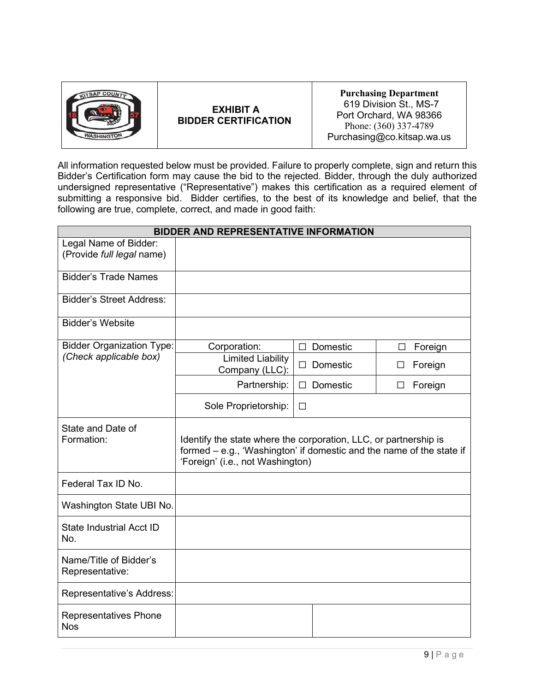| <b>TSAP COUNTY</b> |
|--------------------|
|                    |
|                    |
| <b>WASHINGTON</b>  |

## **EXHIBIT A BIDDER CERTIFICATION**

**Purchasing Department** 619 Division St., MS-7 Port Orchard, WA 98366 Phone: (360) 337-4789 Purchasing@co.kitsap.wa.us

All information requested below must be provided. Failure to properly complete, sign and return this Bidder's Certification form may cause the bid to the rejected. Bidder, through the duly authorized undersigned representative ("Representative") makes this certification as a required element of submitting a responsive bid. Bidder certifies, to the best of its knowledge and belief, that the following are true, complete, correct, and made in good faith:

| <b>BIDDER AND REPRESENTATIVE INFORMATION</b> |                                                                                                                                                                              |                    |                         |
|----------------------------------------------|------------------------------------------------------------------------------------------------------------------------------------------------------------------------------|--------------------|-------------------------|
| Legal Name of Bidder:                        |                                                                                                                                                                              |                    |                         |
| (Provide full legal name)                    |                                                                                                                                                                              |                    |                         |
| <b>Bidder's Trade Names</b>                  |                                                                                                                                                                              |                    |                         |
| <b>Bidder's Street Address:</b>              |                                                                                                                                                                              |                    |                         |
| <b>Bidder's Website</b>                      |                                                                                                                                                                              |                    |                         |
| <b>Bidder Organization Type:</b>             | Corporation:                                                                                                                                                                 | Domestic<br>$\Box$ | Foreign<br>П            |
| (Check applicable box)                       | <b>Limited Liability</b><br>Company (LLC):                                                                                                                                   | Domestic<br>П      | Foreign<br>$\mathsf{L}$ |
|                                              | Partnership:                                                                                                                                                                 | $\Box$ Domestic    | Foreign<br>$\Box$       |
|                                              | Sole Proprietorship:                                                                                                                                                         | □                  |                         |
| State and Date of<br>Formation:              | Identify the state where the corporation, LLC, or partnership is<br>formed – e.g., 'Washington' if domestic and the name of the state if<br>'Foreign' (i.e., not Washington) |                    |                         |
| Federal Tax ID No.                           |                                                                                                                                                                              |                    |                         |
| Washington State UBI No.                     |                                                                                                                                                                              |                    |                         |
| <b>State Industrial Acct ID</b><br>No.       |                                                                                                                                                                              |                    |                         |
| Name/Title of Bidder's<br>Representative:    |                                                                                                                                                                              |                    |                         |
| Representative's Address:                    |                                                                                                                                                                              |                    |                         |
| <b>Representatives Phone</b><br><b>Nos</b>   |                                                                                                                                                                              |                    |                         |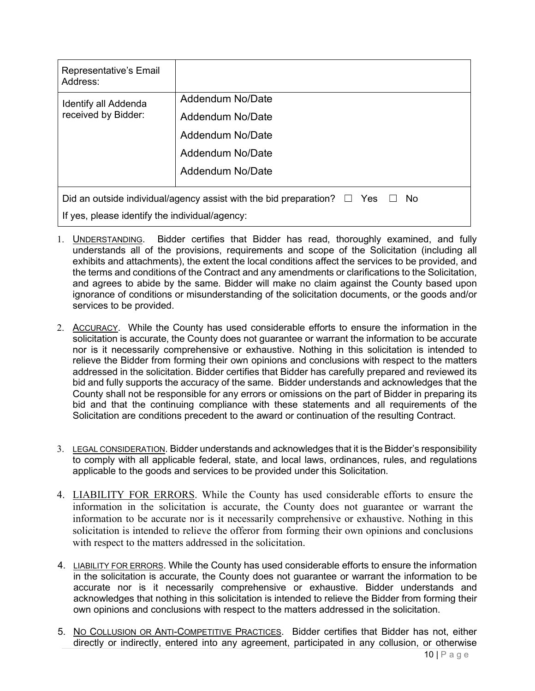| Representative's Email<br>Address:                                                              |                  |  |
|-------------------------------------------------------------------------------------------------|------------------|--|
| Identify all Addenda                                                                            | Addendum No/Date |  |
| received by Bidder:                                                                             | Addendum No/Date |  |
|                                                                                                 | Addendum No/Date |  |
|                                                                                                 | Addendum No/Date |  |
|                                                                                                 | Addendum No/Date |  |
| Did an outside individual/agency assist with the bid preparation? $\square$ Yes $\square$<br>No |                  |  |
| If yes, please identify the individual/agency:                                                  |                  |  |

- 1. UNDERSTANDING. Bidder certifies that Bidder has read, thoroughly examined, and fully understands all of the provisions, requirements and scope of the Solicitation (including all exhibits and attachments), the extent the local conditions affect the services to be provided, and the terms and conditions of the Contract and any amendments or clarifications to the Solicitation, and agrees to abide by the same. Bidder will make no claim against the County based upon ignorance of conditions or misunderstanding of the solicitation documents, or the goods and/or services to be provided.
- 2. ACCURACY. While the County has used considerable efforts to ensure the information in the solicitation is accurate, the County does not guarantee or warrant the information to be accurate nor is it necessarily comprehensive or exhaustive. Nothing in this solicitation is intended to relieve the Bidder from forming their own opinions and conclusions with respect to the matters addressed in the solicitation. Bidder certifies that Bidder has carefully prepared and reviewed its bid and fully supports the accuracy of the same. Bidder understands and acknowledges that the County shall not be responsible for any errors or omissions on the part of Bidder in preparing its bid and that the continuing compliance with these statements and all requirements of the Solicitation are conditions precedent to the award or continuation of the resulting Contract.
- 3. LEGAL CONSIDERATION. Bidder understands and acknowledges that it is the Bidder's responsibility to comply with all applicable federal, state, and local laws, ordinances, rules, and regulations applicable to the goods and services to be provided under this Solicitation.
- 4. LIABILITY FOR ERRORS. While the County has used considerable efforts to ensure the information in the solicitation is accurate, the County does not guarantee or warrant the information to be accurate nor is it necessarily comprehensive or exhaustive. Nothing in this solicitation is intended to relieve the offeror from forming their own opinions and conclusions with respect to the matters addressed in the solicitation.
- 4. LIABILITY FOR ERRORS. While the County has used considerable efforts to ensure the information in the solicitation is accurate, the County does not guarantee or warrant the information to be accurate nor is it necessarily comprehensive or exhaustive. Bidder understands and acknowledges that nothing in this solicitation is intended to relieve the Bidder from forming their own opinions and conclusions with respect to the matters addressed in the solicitation.
- 5. NO COLLUSION OR ANTI-COMPETITIVE PRACTICES. Bidder certifies that Bidder has not, either directly or indirectly, entered into any agreement, participated in any collusion, or otherwise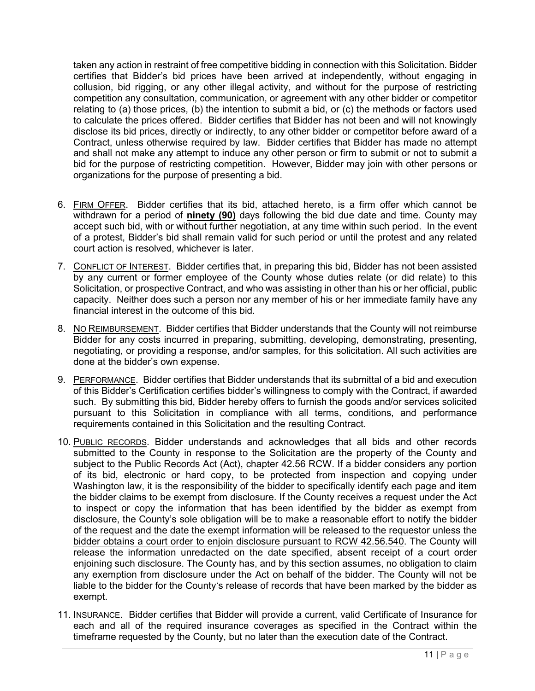taken any action in restraint of free competitive bidding in connection with this Solicitation. Bidder certifies that Bidder's bid prices have been arrived at independently, without engaging in collusion, bid rigging, or any other illegal activity, and without for the purpose of restricting competition any consultation, communication, or agreement with any other bidder or competitor relating to (a) those prices, (b) the intention to submit a bid, or (c) the methods or factors used to calculate the prices offered. Bidder certifies that Bidder has not been and will not knowingly disclose its bid prices, directly or indirectly, to any other bidder or competitor before award of a Contract, unless otherwise required by law. Bidder certifies that Bidder has made no attempt and shall not make any attempt to induce any other person or firm to submit or not to submit a bid for the purpose of restricting competition. However, Bidder may join with other persons or organizations for the purpose of presenting a bid.

- 6. FIRM OFFER. Bidder certifies that its bid, attached hereto, is a firm offer which cannot be withdrawn for a period of **ninety (90)** days following the bid due date and time. County may accept such bid, with or without further negotiation, at any time within such period. In the event of a protest, Bidder's bid shall remain valid for such period or until the protest and any related court action is resolved, whichever is later.
- 7. CONFLICT OF INTEREST. Bidder certifies that, in preparing this bid, Bidder has not been assisted by any current or former employee of the County whose duties relate (or did relate) to this Solicitation, or prospective Contract, and who was assisting in other than his or her official, public capacity. Neither does such a person nor any member of his or her immediate family have any financial interest in the outcome of this bid.
- 8. NO REIMBURSEMENT. Bidder certifies that Bidder understands that the County will not reimburse Bidder for any costs incurred in preparing, submitting, developing, demonstrating, presenting, negotiating, or providing a response, and/or samples, for this solicitation. All such activities are done at the bidder's own expense.
- 9. PERFORMANCE. Bidder certifies that Bidder understands that its submittal of a bid and execution of this Bidder's Certification certifies bidder's willingness to comply with the Contract, if awarded such. By submitting this bid, Bidder hereby offers to furnish the goods and/or services solicited pursuant to this Solicitation in compliance with all terms, conditions, and performance requirements contained in this Solicitation and the resulting Contract.
- 10. PUBLIC RECORDS. Bidder understands and acknowledges that all bids and other records submitted to the County in response to the Solicitation are the property of the County and subject to the Public Records Act (Act), chapter 42.56 RCW. If a bidder considers any portion of its bid, electronic or hard copy, to be protected from inspection and copying under Washington law, it is the responsibility of the bidder to specifically identify each page and item the bidder claims to be exempt from disclosure. If the County receives a request under the Act to inspect or copy the information that has been identified by the bidder as exempt from disclosure, the County's sole obligation will be to make a reasonable effort to notify the bidder of the request and the date the exempt information will be released to the requestor unless the bidder obtains a court order to enjoin disclosure pursuant to RCW 42.56.540. The County will release the information unredacted on the date specified, absent receipt of a court order enjoining such disclosure. The County has, and by this section assumes, no obligation to claim any exemption from disclosure under the Act on behalf of the bidder. The County will not be liable to the bidder for the County's release of records that have been marked by the bidder as exempt.
- 11. INSURANCE. Bidder certifies that Bidder will provide a current, valid Certificate of Insurance for each and all of the required insurance coverages as specified in the Contract within the timeframe requested by the County, but no later than the execution date of the Contract.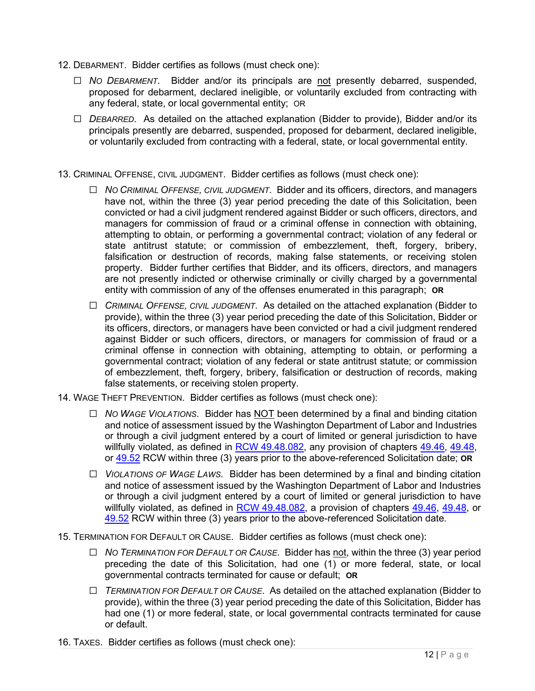- 12. DEBARMENT. Bidder certifies as follows (must check one):
	- ☐ *NO DEBARMENT*. Bidder and/or its principals are not presently debarred, suspended, proposed for debarment, declared ineligible, or voluntarily excluded from contracting with any federal, state, or local governmental entity; OR
	- ☐ *DEBARRED*. As detailed on the attached explanation (Bidder to provide), Bidder and/or its principals presently are debarred, suspended, proposed for debarment, declared ineligible, or voluntarily excluded from contracting with a federal, state, or local governmental entity.
- 13. CRIMINAL OFFENSE, CIVIL JUDGMENT. Bidder certifies as follows (must check one):
	- ☐ *NO CRIMINAL OFFENSE, CIVIL JUDGMENT*. Bidder and its officers, directors, and managers have not, within the three (3) year period preceding the date of this Solicitation, been convicted or had a civil judgment rendered against Bidder or such officers, directors, and managers for commission of fraud or a criminal offense in connection with obtaining, attempting to obtain, or performing a governmental contract; violation of any federal or state antitrust statute; or commission of embezzlement, theft, forgery, bribery, falsification or destruction of records, making false statements, or receiving stolen property. Bidder further certifies that Bidder, and its officers, directors, and managers are not presently indicted or otherwise criminally or civilly charged by a governmental entity with commission of any of the offenses enumerated in this paragraph; **OR**
	- ☐ *CRIMINAL OFFENSE, CIVIL JUDGMENT*. As detailed on the attached explanation (Bidder to provide), within the three (3) year period preceding the date of this Solicitation, Bidder or its officers, directors, or managers have been convicted or had a civil judgment rendered against Bidder or such officers, directors, or managers for commission of fraud or a criminal offense in connection with obtaining, attempting to obtain, or performing a governmental contract; violation of any federal or state antitrust statute; or commission of embezzlement, theft, forgery, bribery, falsification or destruction of records, making false statements, or receiving stolen property.
- 14. WAGE THEFT PREVENTION. Bidder certifies as follows (must check one):
	- ☐ *NO WAGE VIOLATIONS*. Bidder has NOT been determined by a final and binding citation and notice of assessment issued by the Washington Department of Labor and Industries or through a civil judgment entered by a court of limited or general jurisdiction to have willfully violated, as defined in RCW [49.48.082,](http://app.leg.wa.gov/RCW/default.aspx?cite=49.48.082) any provision of chapters [49.46,](http://app.leg.wa.gov/RCW/default.aspx?cite=49.46) [49.48,](http://app.leg.wa.gov/RCW/default.aspx?cite=49.48) or [49.52](http://app.leg.wa.gov/RCW/default.aspx?cite=49.52) RCW within three (3) years prior to the above-referenced Solicitation date; **OR**
	- ☐ *VIOLATIONS OF WAGE LAWS*. Bidder has been determined by a final and binding citation and notice of assessment issued by the Washington Department of Labor and Industries or through a civil judgment entered by a court of limited or general jurisdiction to have willfully violated, as defined in  $RCW$  [49.48.082,](http://app.leg.wa.gov/RCW/default.aspx?cite=49.48.082) a provision of chapters  $49.46$ ,  $49.48$ , or [49.52](http://app.leg.wa.gov/RCW/default.aspx?cite=49.52) RCW within three (3) years prior to the above-referenced Solicitation date.
- 15. TERMINATION FOR DEFAULT OR CAUSE. Bidder certifies as follows (must check one):
	- ☐ *NO TERMINATION FOR DEFAULT OR CAUSE*. Bidder has not, within the three (3) year period preceding the date of this Solicitation, had one (1) or more federal, state, or local governmental contracts terminated for cause or default; **OR**
	- ☐ *TERMINATION FOR DEFAULT OR CAUSE*. As detailed on the attached explanation (Bidder to provide), within the three (3) year period preceding the date of this Solicitation, Bidder has had one (1) or more federal, state, or local governmental contracts terminated for cause or default.
- 16. TAXES. Bidder certifies as follows (must check one):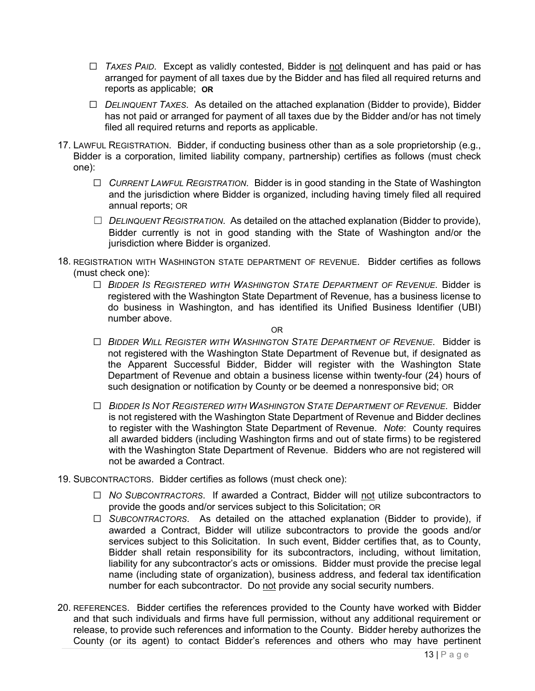- ☐ *TAXES PAID*. Except as validly contested, Bidder is not delinquent and has paid or has arranged for payment of all taxes due by the Bidder and has filed all required returns and reports as applicable; **OR**
- ☐ *DELINQUENT TAXES*. As detailed on the attached explanation (Bidder to provide), Bidder has not paid or arranged for payment of all taxes due by the Bidder and/or has not timely filed all required returns and reports as applicable.
- 17. LAWFUL REGISTRATION. Bidder, if conducting business other than as a sole proprietorship (e.g., Bidder is a corporation, limited liability company, partnership) certifies as follows (must check one):
	- ☐ *CURRENT LAWFUL REGISTRATION*. Bidder is in good standing in the State of Washington and the jurisdiction where Bidder is organized, including having timely filed all required annual reports; OR
	- ☐ *DELINQUENT REGISTRATION*. As detailed on the attached explanation (Bidder to provide), Bidder currently is not in good standing with the State of Washington and/or the jurisdiction where Bidder is organized.
- 18. REGISTRATION WITH WASHINGTON STATE DEPARTMENT OF REVENUE. Bidder certifies as follows (must check one):
	- ☐ *BIDDER IS REGISTERED WITH WASHINGTON STATE DEPARTMENT OF REVENUE*. Bidder is registered with the Washington State Department of Revenue, has a business license to do business in Washington, and has identified its Unified Business Identifier (UBI) number above.

OR

- ☐ *BIDDER WILL REGISTER WITH WASHINGTON STATE DEPARTMENT OF REVENUE*. Bidder is not registered with the Washington State Department of Revenue but, if designated as the Apparent Successful Bidder, Bidder will register with the Washington State Department of Revenue and obtain a business license within twenty-four (24) hours of such designation or notification by County or be deemed a nonresponsive bid; OR
- ☐ *BIDDER IS NOT REGISTERED WITH WASHINGTON STATE DEPARTMENT OF REVENUE*. Bidder is not registered with the Washington State Department of Revenue and Bidder declines to register with the Washington State Department of Revenue. *Note*: County requires all awarded bidders (including Washington firms and out of state firms) to be registered with the Washington State Department of Revenue. Bidders who are not registered will not be awarded a Contract.
- 19. SUBCONTRACTORS. Bidder certifies as follows (must check one):
	- ☐ *NO SUBCONTRACTORS*. If awarded a Contract, Bidder will not utilize subcontractors to provide the goods and/or services subject to this Solicitation; OR
	- ☐ *SUBCONTRACTORS*. As detailed on the attached explanation (Bidder to provide), if awarded a Contract, Bidder will utilize subcontractors to provide the goods and/or services subject to this Solicitation. In such event, Bidder certifies that, as to County, Bidder shall retain responsibility for its subcontractors, including, without limitation, liability for any subcontractor's acts or omissions. Bidder must provide the precise legal name (including state of organization), business address, and federal tax identification number for each subcontractor. Do not provide any social security numbers.
- 20. REFERENCES. Bidder certifies the references provided to the County have worked with Bidder and that such individuals and firms have full permission, without any additional requirement or release, to provide such references and information to the County. Bidder hereby authorizes the County (or its agent) to contact Bidder's references and others who may have pertinent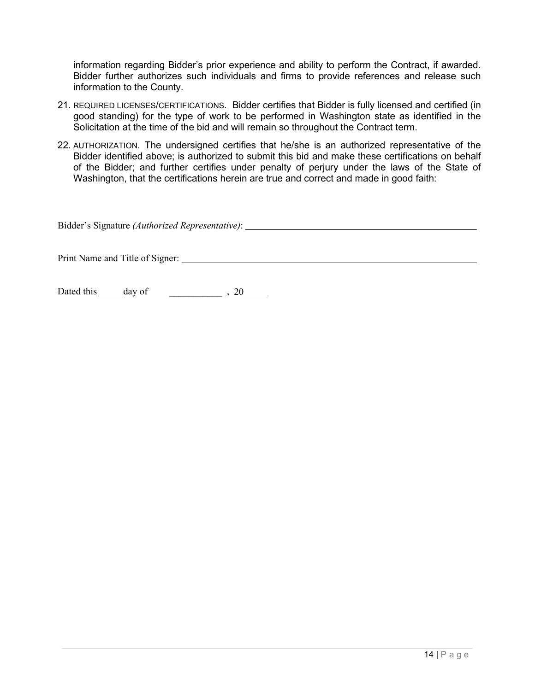information regarding Bidder's prior experience and ability to perform the Contract, if awarded. Bidder further authorizes such individuals and firms to provide references and release such information to the County.

- 21. REQUIRED LICENSES/CERTIFICATIONS. Bidder certifies that Bidder is fully licensed and certified (in good standing) for the type of work to be performed in Washington state as identified in the Solicitation at the time of the bid and will remain so throughout the Contract term.
- 22. AUTHORIZATION. The undersigned certifies that he/she is an authorized representative of the Bidder identified above; is authorized to submit this bid and make these certifications on behalf of the Bidder; and further certifies under penalty of perjury under the laws of the State of Washington, that the certifications herein are true and correct and made in good faith:

| Bidder's Signature (Authorized Representative): |  |
|-------------------------------------------------|--|
|                                                 |  |
|                                                 |  |

Dated this day of \_\_\_\_\_\_\_\_\_\_\_ , 20

Print Name and Title of Signer: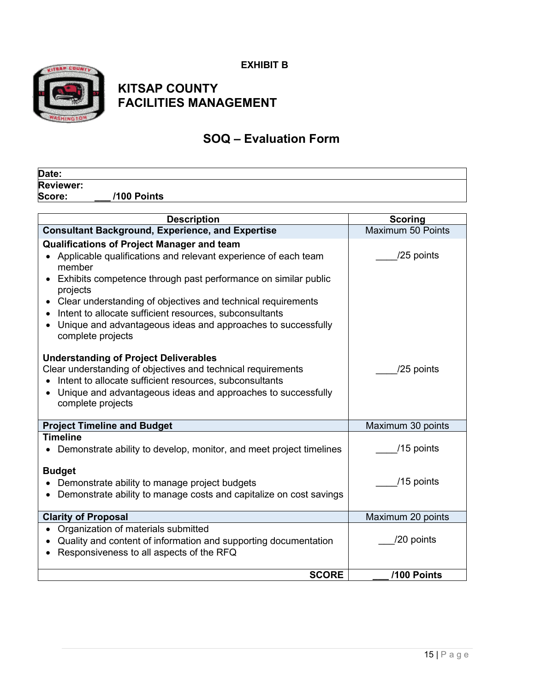**EXHIBIT B** 



## **KITSAP COUNTY FACILITIES MANAGEMENT**

## **SOQ – Evaluation Form**

| Date:            |             |  |
|------------------|-------------|--|
| <b>Reviewer:</b> |             |  |
| Score:           | /100 Points |  |

| <b>Description</b>                                                                                                                                                                                                                                                                                                                                                                                                          | <b>Scoring</b>    |
|-----------------------------------------------------------------------------------------------------------------------------------------------------------------------------------------------------------------------------------------------------------------------------------------------------------------------------------------------------------------------------------------------------------------------------|-------------------|
| <b>Consultant Background, Experience, and Expertise</b>                                                                                                                                                                                                                                                                                                                                                                     | Maximum 50 Points |
| <b>Qualifications of Project Manager and team</b><br>Applicable qualifications and relevant experience of each team<br>member<br>Exhibits competence through past performance on similar public<br>projects<br>Clear understanding of objectives and technical requirements<br>Intent to allocate sufficient resources, subconsultants<br>Unique and advantageous ideas and approaches to successfully<br>complete projects | /25 points        |
| <b>Understanding of Project Deliverables</b><br>Clear understanding of objectives and technical requirements<br>Intent to allocate sufficient resources, subconsultants<br>Unique and advantageous ideas and approaches to successfully<br>complete projects                                                                                                                                                                | /25 points        |
| <b>Project Timeline and Budget</b>                                                                                                                                                                                                                                                                                                                                                                                          | Maximum 30 points |
| <b>Timeline</b><br>Demonstrate ability to develop, monitor, and meet project timelines                                                                                                                                                                                                                                                                                                                                      | /15 points        |
| <b>Budget</b><br>Demonstrate ability to manage project budgets<br>Demonstrate ability to manage costs and capitalize on cost savings                                                                                                                                                                                                                                                                                        | /15 points        |
| <b>Clarity of Proposal</b>                                                                                                                                                                                                                                                                                                                                                                                                  | Maximum 20 points |
| Organization of materials submitted<br>Quality and content of information and supporting documentation<br>Responsiveness to all aspects of the RFQ                                                                                                                                                                                                                                                                          | /20 points        |
| <b>SCORE</b>                                                                                                                                                                                                                                                                                                                                                                                                                | /100 Points       |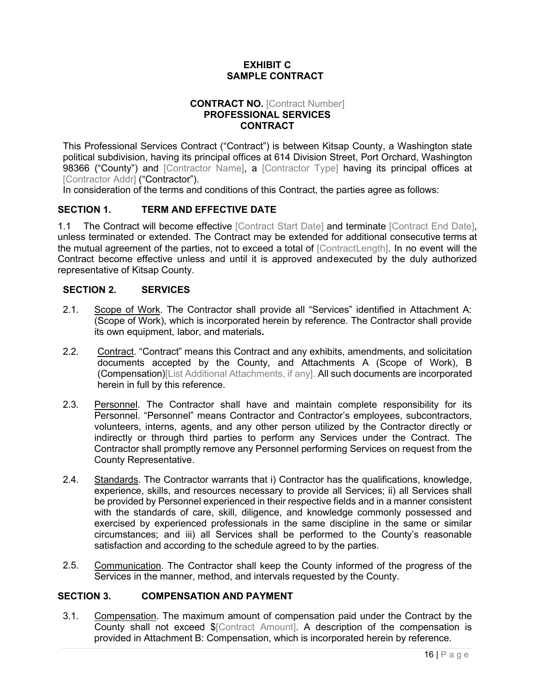## **EXHIBIT C SAMPLE CONTRACT**

#### **CONTRACT NO.** [Contract Number] **PROFESSIONAL SERVICES CONTRACT**

This Professional Services Contract ("Contract") is between Kitsap County, a Washington state political subdivision, having its principal offices at 614 Division Street, Port Orchard, Washington 98366 ("County") and [Contractor Name], a [Contractor Type] having its principal offices at [Contractor Addr] ("Contractor").

In consideration of the terms and conditions of this Contract, the parties agree as follows:

## **SECTION 1. TERM AND EFFECTIVE DATE**

1.1 The Contract will become effective [Contract Start Date] and terminate [Contract End Date], unless terminated or extended. The Contract may be extended for additional consecutive terms at the mutual agreement of the parties, not to exceed a total of [ContractLength]. In no event will the Contract become effective unless and until it is approved andexecuted by the duly authorized representative of Kitsap County.

## **SECTION 2. SERVICES**

- 2.1. Scope of Work. The Contractor shall provide all "Services" identified in Attachment A: (Scope of Work), which is incorporated herein by reference. The Contractor shall provide its own equipment, labor, and materials**.**
- 2.2. Contract. "Contract" means this Contract and any exhibits, amendments, and solicitation documents accepted by the County, and Attachments A (Scope of Work), B (Compensation)[List Additional Attachments, if any]. All such documents are incorporated herein in full by this reference.
- 2.3. Personnel. The Contractor shall have and maintain complete responsibility for its Personnel. "Personnel" means Contractor and Contractor's employees, subcontractors, volunteers, interns, agents, and any other person utilized by the Contractor directly or indirectly or through third parties to perform any Services under the Contract. The Contractor shall promptly remove any Personnel performing Services on request from the County Representative.
- 2.4. Standards. The Contractor warrants that i) Contractor has the qualifications, knowledge, experience, skills, and resources necessary to provide all Services; ii) all Services shall be provided by Personnel experienced in their respective fields and in a manner consistent with the standards of care, skill, diligence, and knowledge commonly possessed and exercised by experienced professionals in the same discipline in the same or similar circumstances; and iii) all Services shall be performed to the County's reasonable satisfaction and according to the schedule agreed to by the parties.
- 2.5. Communication. The Contractor shall keep the County informed of the progress of the Services in the manner, method, and intervals requested by the County.

## **SECTION 3. COMPENSATION AND PAYMENT**

3.1. Compensation. The maximum amount of compensation paid under the Contract by the County shall not exceed \$[Contract Amount]. A description of the compensation is provided in Attachment B: Compensation, which is incorporated herein by reference.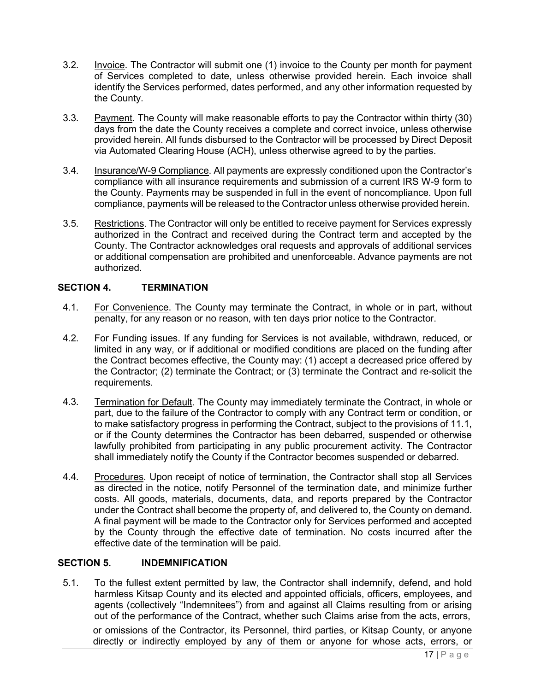- 3.2. Invoice. The Contractor will submit one (1) invoice to the County per month for payment of Services completed to date, unless otherwise provided herein. Each invoice shall identify the Services performed, dates performed, and any other information requested by the County.
- 3.3. Payment. The County will make reasonable efforts to pay the Contractor within thirty (30) days from the date the County receives a complete and correct invoice, unless otherwise provided herein. All funds disbursed to the Contractor will be processed by Direct Deposit via Automated Clearing House (ACH), unless otherwise agreed to by the parties.
- 3.4. Insurance/W-9 Compliance. All payments are expressly conditioned upon the Contractor's compliance with all insurance requirements and submission of a current IRS W-9 form to the County. Payments may be suspended in full in the event of noncompliance. Upon full compliance, payments will be released to the Contractor unless otherwise provided herein.
- 3.5. Restrictions. The Contractor will only be entitled to receive payment for Services expressly authorized in the Contract and received during the Contract term and accepted by the County. The Contractor acknowledges oral requests and approvals of additional services or additional compensation are prohibited and unenforceable. Advance payments are not authorized.

## **SECTION 4. TERMINATION**

- 4.1. For Convenience. The County may terminate the Contract, in whole or in part, without penalty, for any reason or no reason, with ten days prior notice to the Contractor.
- 4.2. For Funding issues. If any funding for Services is not available, withdrawn, reduced, or limited in any way, or if additional or modified conditions are placed on the funding after the Contract becomes effective, the County may: (1) accept a decreased price offered by the Contractor; (2) terminate the Contract; or (3) terminate the Contract and re-solicit the requirements.
- 4.3. Termination for Default. The County may immediately terminate the Contract, in whole or part, due to the failure of the Contractor to comply with any Contract term or condition, or to make satisfactory progress in performing the Contract, subject to the provisions of 11.1, or if the County determines the Contractor has been debarred, suspended or otherwise lawfully prohibited from participating in any public procurement activity. The Contractor shall immediately notify the County if the Contractor becomes suspended or debarred.
- 4.4. Procedures. Upon receipt of notice of termination, the Contractor shall stop all Services as directed in the notice, notify Personnel of the termination date, and minimize further costs. All goods, materials, documents, data, and reports prepared by the Contractor under the Contract shall become the property of, and delivered to, the County on demand. A final payment will be made to the Contractor only for Services performed and accepted by the County through the effective date of termination. No costs incurred after the effective date of the termination will be paid.

## **SECTION 5. INDEMNIFICATION**

5.1. To the fullest extent permitted by law, the Contractor shall indemnify, defend, and hold harmless Kitsap County and its elected and appointed officials, officers, employees, and agents (collectively "Indemnitees") from and against all Claims resulting from or arising out of the performance of the Contract, whether such Claims arise from the acts, errors,

or omissions of the Contractor, its Personnel, third parties, or Kitsap County, or anyone directly or indirectly employed by any of them or anyone for whose acts, errors, or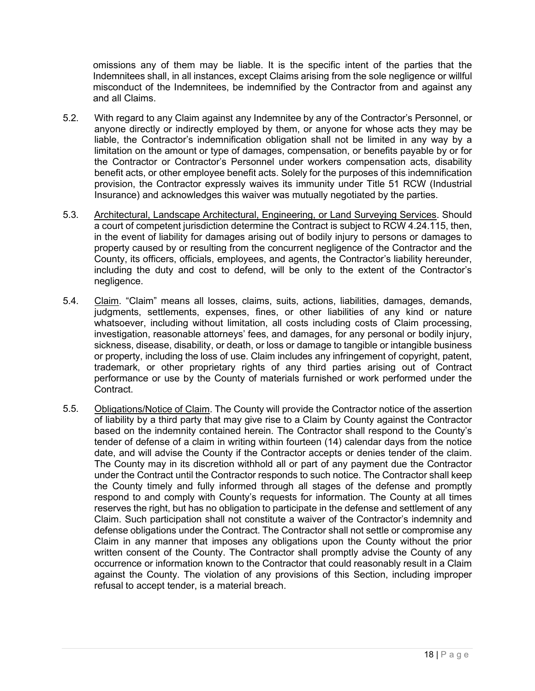omissions any of them may be liable. It is the specific intent of the parties that the Indemnitees shall, in all instances, except Claims arising from the sole negligence or willful misconduct of the Indemnitees, be indemnified by the Contractor from and against any and all Claims.

- 5.2. With regard to any Claim against any Indemnitee by any of the Contractor's Personnel, or anyone directly or indirectly employed by them, or anyone for whose acts they may be liable, the Contractor's indemnification obligation shall not be limited in any way by a limitation on the amount or type of damages, compensation, or benefits payable by or for the Contractor or Contractor's Personnel under workers compensation acts, disability benefit acts, or other employee benefit acts. Solely for the purposes of this indemnification provision, the Contractor expressly waives its immunity under Title 51 RCW (Industrial Insurance) and acknowledges this waiver was mutually negotiated by the parties.
- 5.3. Architectural, Landscape Architectural, Engineering, or Land Surveying Services. Should a court of competent jurisdiction determine the Contract is subject to RCW 4.24.115, then, in the event of liability for damages arising out of bodily injury to persons or damages to property caused by or resulting from the concurrent negligence of the Contractor and the County, its officers, officials, employees, and agents, the Contractor's liability hereunder, including the duty and cost to defend, will be only to the extent of the Contractor's negligence.
- 5.4. Claim. "Claim" means all losses, claims, suits, actions, liabilities, damages, demands, judgments, settlements, expenses, fines, or other liabilities of any kind or nature whatsoever, including without limitation, all costs including costs of Claim processing, investigation, reasonable attorneys' fees, and damages, for any personal or bodily injury, sickness, disease, disability, or death, or loss or damage to tangible or intangible business or property, including the loss of use. Claim includes any infringement of copyright, patent, trademark, or other proprietary rights of any third parties arising out of Contract performance or use by the County of materials furnished or work performed under the Contract.
- 5.5. Obligations/Notice of Claim. The County will provide the Contractor notice of the assertion of liability by a third party that may give rise to a Claim by County against the Contractor based on the indemnity contained herein. The Contractor shall respond to the County's tender of defense of a claim in writing within fourteen (14) calendar days from the notice date, and will advise the County if the Contractor accepts or denies tender of the claim. The County may in its discretion withhold all or part of any payment due the Contractor under the Contract until the Contractor responds to such notice. The Contractor shall keep the County timely and fully informed through all stages of the defense and promptly respond to and comply with County's requests for information. The County at all times reserves the right, but has no obligation to participate in the defense and settlement of any Claim. Such participation shall not constitute a waiver of the Contractor's indemnity and defense obligations under the Contract. The Contractor shall not settle or compromise any Claim in any manner that imposes any obligations upon the County without the prior written consent of the County. The Contractor shall promptly advise the County of any occurrence or information known to the Contractor that could reasonably result in a Claim against the County. The violation of any provisions of this Section, including improper refusal to accept tender, is a material breach.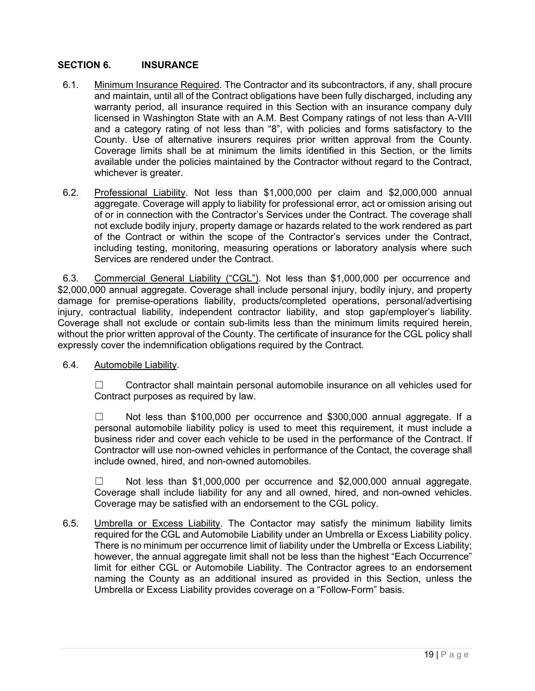## **SECTION 6. INSURANCE**

- 6.1. Minimum Insurance Required. The Contractor and its subcontractors, if any, shall procure and maintain, until all of the Contract obligations have been fully discharged, including any warranty period, all insurance required in this Section with an insurance company duly licensed in Washington State with an A.M. Best Company ratings of not less than A-VIII and a category rating of not less than "8", with policies and forms satisfactory to the County. Use of alternative insurers requires prior written approval from the County. Coverage limits shall be at minimum the limits identified in this Section, or the limits available under the policies maintained by the Contractor without regard to the Contract, whichever is greater.
- 6.2. Professional Liability. Not less than \$1,000,000 per claim and \$2,000,000 annual aggregate. Coverage will apply to liability for professional error, act or omission arising out of or in connection with the Contractor's Services under the Contract. The coverage shall not exclude bodily injury, property damage or hazards related to the work rendered as part of the Contract or within the scope of the Contractor's services under the Contract, including testing, monitoring, measuring operations or laboratory analysis where such Services are rendered under the Contract.

6.3. Commercial General Liability ("CGL"). Not less than \$1,000,000 per occurrence and \$2,000,000 annual aggregate. Coverage shall include personal injury, bodily injury, and property damage for premise-operations liability, products/completed operations, personal/advertising injury, contractual liability, independent contractor liability, and stop gap/employer's liability. Coverage shall not exclude or contain sub-limits less than the minimum limits required herein, without the prior written approval of the County. The certificate of insurance for the CGL policy shall expressly cover the indemnification obligations required by the Contract.

6.4. Automobile Liability.

☐ Contractor shall maintain personal automobile insurance on all vehicles used for Contract purposes as required by law.

 $\Box$  Not less than \$100,000 per occurrence and \$300,000 annual aggregate. If a personal automobile liability policy is used to meet this requirement, it must include a business rider and cover each vehicle to be used in the performance of the Contract. If Contractor will use non-owned vehicles in performance of the Contact, the coverage shall include owned, hired, and non-owned automobiles.

 $\Box$  Not less than \$1,000,000 per occurrence and \$2,000,000 annual aggregate. Coverage shall include liability for any and all owned, hired, and non-owned vehicles. Coverage may be satisfied with an endorsement to the CGL policy.

6.5. Umbrella or Excess Liability. The Contactor may satisfy the minimum liability limits required for the CGL and Automobile Liability under an Umbrella or Excess Liability policy. There is no minimum per occurrence limit of liability under the Umbrella or Excess Liability; however, the annual aggregate limit shall not be less than the highest "Each Occurrence" limit for either CGL or Automobile Liability. The Contractor agrees to an endorsement naming the County as an additional insured as provided in this Section, unless the Umbrella or Excess Liability provides coverage on a "Follow-Form" basis.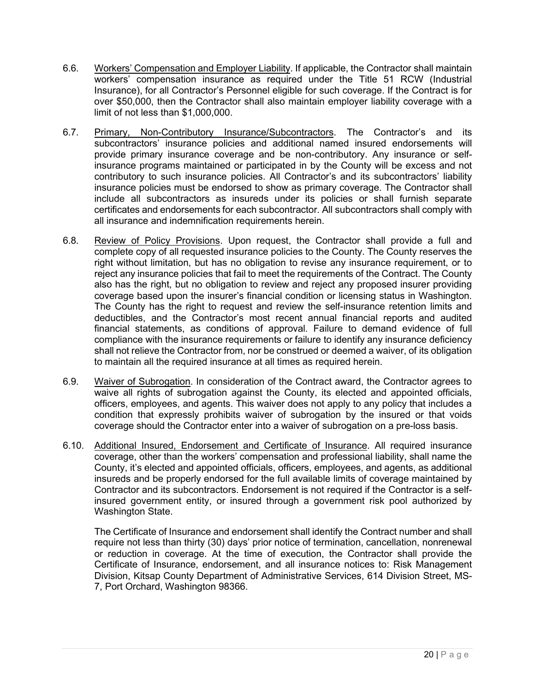- 6.6. Workers' Compensation and Employer Liability. If applicable, the Contractor shall maintain workers' compensation insurance as required under the Title 51 RCW (Industrial Insurance), for all Contractor's Personnel eligible for such coverage. If the Contract is for over \$50,000, then the Contractor shall also maintain employer liability coverage with a limit of not less than \$1,000,000.
- 6.7. Primary, Non-Contributory Insurance/Subcontractors. The Contractor's and its subcontractors' insurance policies and additional named insured endorsements will provide primary insurance coverage and be non-contributory. Any insurance or selfinsurance programs maintained or participated in by the County will be excess and not contributory to such insurance policies. All Contractor's and its subcontractors' liability insurance policies must be endorsed to show as primary coverage. The Contractor shall include all subcontractors as insureds under its policies or shall furnish separate certificates and endorsements for each subcontractor. All subcontractors shall comply with all insurance and indemnification requirements herein.
- 6.8. Review of Policy Provisions. Upon request, the Contractor shall provide a full and complete copy of all requested insurance policies to the County. The County reserves the right without limitation, but has no obligation to revise any insurance requirement, or to reject any insurance policies that fail to meet the requirements of the Contract. The County also has the right, but no obligation to review and reject any proposed insurer providing coverage based upon the insurer's financial condition or licensing status in Washington. The County has the right to request and review the self-insurance retention limits and deductibles, and the Contractor's most recent annual financial reports and audited financial statements, as conditions of approval. Failure to demand evidence of full compliance with the insurance requirements or failure to identify any insurance deficiency shall not relieve the Contractor from, nor be construed or deemed a waiver, of its obligation to maintain all the required insurance at all times as required herein.
- 6.9. Waiver of Subrogation. In consideration of the Contract award, the Contractor agrees to waive all rights of subrogation against the County, its elected and appointed officials, officers, employees, and agents. This waiver does not apply to any policy that includes a condition that expressly prohibits waiver of subrogation by the insured or that voids coverage should the Contractor enter into a waiver of subrogation on a pre-loss basis.
- 6.10. Additional Insured, Endorsement and Certificate of Insurance. All required insurance coverage, other than the workers' compensation and professional liability, shall name the County, it's elected and appointed officials, officers, employees, and agents, as additional insureds and be properly endorsed for the full available limits of coverage maintained by Contractor and its subcontractors. Endorsement is not required if the Contractor is a selfinsured government entity, or insured through a government risk pool authorized by Washington State.

The Certificate of Insurance and endorsement shall identify the Contract number and shall require not less than thirty (30) days' prior notice of termination, cancellation, nonrenewal or reduction in coverage. At the time of execution, the Contractor shall provide the Certificate of Insurance, endorsement, and all insurance notices to: Risk Management Division, Kitsap County Department of Administrative Services, 614 Division Street, MS-7, Port Orchard, Washington 98366.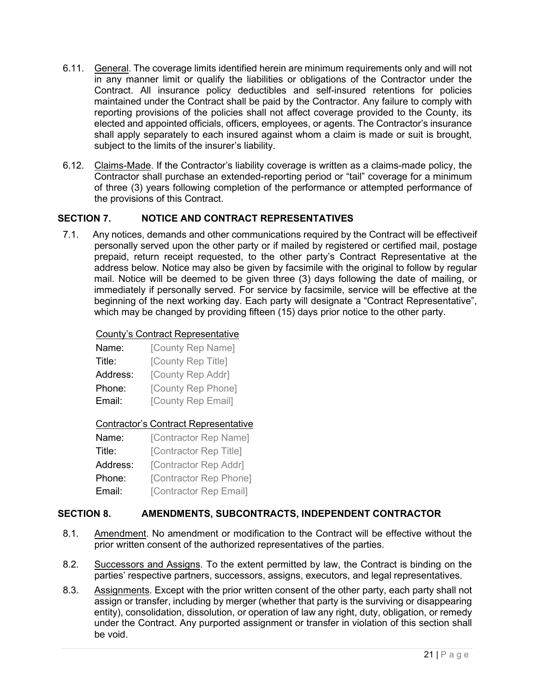- 6.11. General. The coverage limits identified herein are minimum requirements only and will not in any manner limit or qualify the liabilities or obligations of the Contractor under the Contract. All insurance policy deductibles and self-insured retentions for policies maintained under the Contract shall be paid by the Contractor. Any failure to comply with reporting provisions of the policies shall not affect coverage provided to the County, its elected and appointed officials, officers, employees, or agents. The Contractor's insurance shall apply separately to each insured against whom a claim is made or suit is brought, subject to the limits of the insurer's liability.
- 6.12. Claims-Made. If the Contractor's liability coverage is written as a claims-made policy, the Contractor shall purchase an extended-reporting period or "tail" coverage for a minimum of three (3) years following completion of the performance or attempted performance of the provisions of this Contract.

## **SECTION 7. NOTICE AND CONTRACT REPRESENTATIVES**

7.1. Any notices, demands and other communications required by the Contract will be effectiveif personally served upon the other party or if mailed by registered or certified mail, postage prepaid, return receipt requested, to the other party's Contract Representative at the address below. Notice may also be given by facsimile with the original to follow by regular mail. Notice will be deemed to be given three (3) days following the date of mailing, or immediately if personally served. For service by facsimile, service will be effective at the beginning of the next working day. Each party will designate a "Contract Representative", which may be changed by providing fifteen (15) days prior notice to the other party.

#### County's Contract Representative

| Name:    | [County Rep Name]  |
|----------|--------------------|
| Title:   | [County Rep Title] |
| Address: | [County Rep Addr]  |
| Phone:   | [County Rep Phone] |
| Email:   | [County Rep Email] |

## Contractor's Contract Representative

| Name:    | [Contractor Rep Name]  |
|----------|------------------------|
| Title:   | [Contractor Rep Title] |
| Address: | [Contractor Rep Addr]  |
| Phone:   | [Contractor Rep Phone] |
| Email:   | [Contractor Rep Email] |

## **SECTION 8. AMENDMENTS, SUBCONTRACTS, INDEPENDENT CONTRACTOR**

- 8.1. Amendment. No amendment or modification to the Contract will be effective without the prior written consent of the authorized representatives of the parties.
- 8.2. Successors and Assigns. To the extent permitted by law, the Contract is binding on the parties' respective partners, successors, assigns, executors, and legal representatives.
- 8.3. Assignments. Except with the prior written consent of the other party, each party shall not assign or transfer, including by merger (whether that party is the surviving or disappearing entity), consolidation, dissolution, or operation of law any right, duty, obligation, or remedy under the Contract. Any purported assignment or transfer in violation of this section shall be void.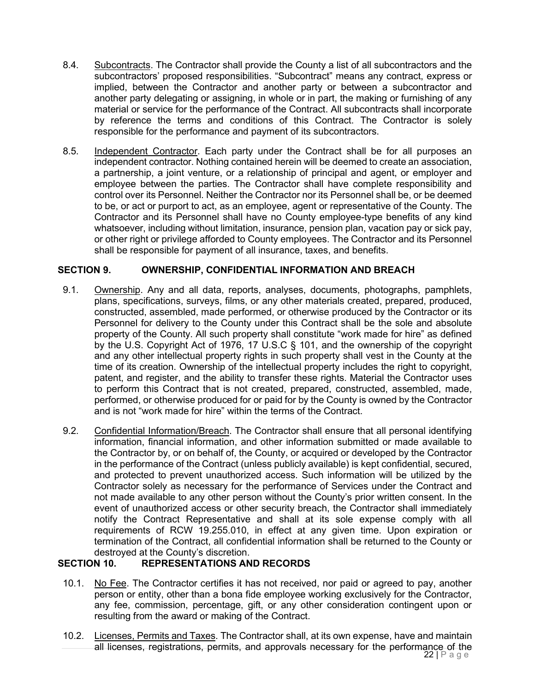- 8.4. Subcontracts. The Contractor shall provide the County a list of all subcontractors and the subcontractors' proposed responsibilities. "Subcontract" means any contract, express or implied, between the Contractor and another party or between a subcontractor and another party delegating or assigning, in whole or in part, the making or furnishing of any material or service for the performance of the Contract. All subcontracts shall incorporate by reference the terms and conditions of this Contract. The Contractor is solely responsible for the performance and payment of its subcontractors.
- 8.5. Independent Contractor. Each party under the Contract shall be for all purposes an independent contractor. Nothing contained herein will be deemed to create an association, a partnership, a joint venture, or a relationship of principal and agent, or employer and employee between the parties. The Contractor shall have complete responsibility and control over its Personnel. Neither the Contractor nor its Personnel shall be, or be deemed to be, or act or purport to act, as an employee, agent or representative of the County. The Contractor and its Personnel shall have no County employee-type benefits of any kind whatsoever, including without limitation, insurance, pension plan, vacation pay or sick pay, or other right or privilege afforded to County employees. The Contractor and its Personnel shall be responsible for payment of all insurance, taxes, and benefits.

## **SECTION 9. OWNERSHIP, CONFIDENTIAL INFORMATION AND BREACH**

- 9.1. Ownership. Any and all data, reports, analyses, documents, photographs, pamphlets, plans, specifications, surveys, films, or any other materials created, prepared, produced, constructed, assembled, made performed, or otherwise produced by the Contractor or its Personnel for delivery to the County under this Contract shall be the sole and absolute property of the County. All such property shall constitute "work made for hire" as defined by the U.S. Copyright Act of 1976, 17 U.S.C § 101, and the ownership of the copyright and any other intellectual property rights in such property shall vest in the County at the time of its creation. Ownership of the intellectual property includes the right to copyright, patent, and register, and the ability to transfer these rights. Material the Contractor uses to perform this Contract that is not created, prepared, constructed, assembled, made, performed, or otherwise produced for or paid for by the County is owned by the Contractor and is not "work made for hire" within the terms of the Contract.
- 9.2. Confidential Information/Breach. The Contractor shall ensure that all personal identifying information, financial information, and other information submitted or made available to the Contractor by, or on behalf of, the County, or acquired or developed by the Contractor in the performance of the Contract (unless publicly available) is kept confidential, secured, and protected to prevent unauthorized access. Such information will be utilized by the Contractor solely as necessary for the performance of Services under the Contract and not made available to any other person without the County's prior written consent. In the event of unauthorized access or other security breach, the Contractor shall immediately notify the Contract Representative and shall at its sole expense comply with all requirements of RCW 19.255.010, in effect at any given time. Upon expiration or termination of the Contract, all confidential information shall be returned to the County or destroyed at the County's discretion.

## **SECTION 10. REPRESENTATIONS AND RECORDS**

- 10.1. No Fee. The Contractor certifies it has not received, nor paid or agreed to pay, another person or entity, other than a bona fide employee working exclusively for the Contractor, any fee, commission, percentage, gift, or any other consideration contingent upon or resulting from the award or making of the Contract.
- 22 | P a g e 10.2. Licenses, Permits and Taxes. The Contractor shall, at its own expense, have and maintain all licenses, registrations, permits, and approvals necessary for the performance of the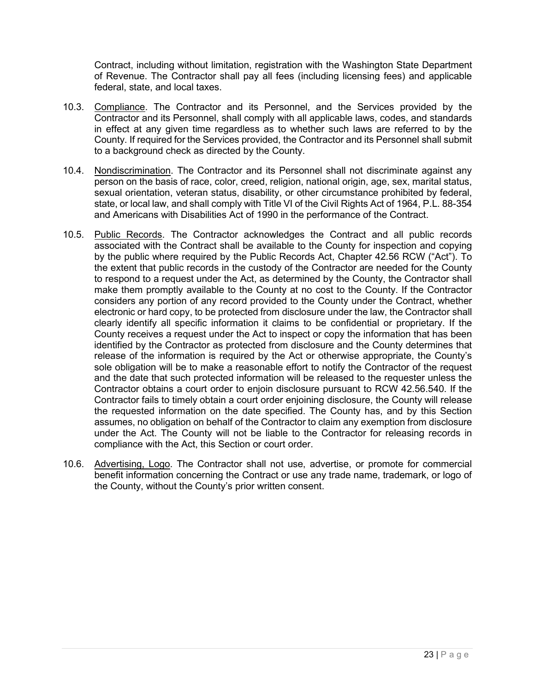Contract, including without limitation, registration with the Washington State Department of Revenue. The Contractor shall pay all fees (including licensing fees) and applicable federal, state, and local taxes.

- 10.3. Compliance. The Contractor and its Personnel, and the Services provided by the Contractor and its Personnel, shall comply with all applicable laws, codes, and standards in effect at any given time regardless as to whether such laws are referred to by the County. If required for the Services provided, the Contractor and its Personnel shall submit to a background check as directed by the County.
- 10.4. Nondiscrimination. The Contractor and its Personnel shall not discriminate against any person on the basis of race, color, creed, religion, national origin, age, sex, marital status, sexual orientation, veteran status, disability, or other circumstance prohibited by federal, state, or local law, and shall comply with Title VI of the Civil Rights Act of 1964, P.L. 88-354 and Americans with Disabilities Act of 1990 in the performance of the Contract.
- 10.5. Public Records. The Contractor acknowledges the Contract and all public records associated with the Contract shall be available to the County for inspection and copying by the public where required by the Public Records Act, Chapter 42.56 RCW ("Act"). To the extent that public records in the custody of the Contractor are needed for the County to respond to a request under the Act, as determined by the County, the Contractor shall make them promptly available to the County at no cost to the County. If the Contractor considers any portion of any record provided to the County under the Contract, whether electronic or hard copy, to be protected from disclosure under the law, the Contractor shall clearly identify all specific information it claims to be confidential or proprietary. If the County receives a request under the Act to inspect or copy the information that has been identified by the Contractor as protected from disclosure and the County determines that release of the information is required by the Act or otherwise appropriate, the County's sole obligation will be to make a reasonable effort to notify the Contractor of the request and the date that such protected information will be released to the requester unless the Contractor obtains a court order to enjoin disclosure pursuant to RCW 42.56.540. If the Contractor fails to timely obtain a court order enjoining disclosure, the County will release the requested information on the date specified. The County has, and by this Section assumes, no obligation on behalf of the Contractor to claim any exemption from disclosure under the Act. The County will not be liable to the Contractor for releasing records in compliance with the Act, this Section or court order.
- 10.6. Advertising, Logo. The Contractor shall not use, advertise, or promote for commercial benefit information concerning the Contract or use any trade name, trademark, or logo of the County, without the County's prior written consent.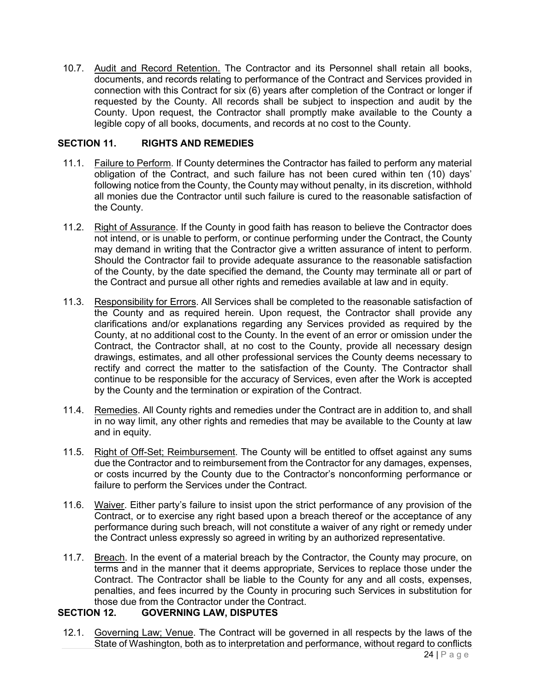10.7. Audit and Record Retention. The Contractor and its Personnel shall retain all books, documents, and records relating to performance of the Contract and Services provided in connection with this Contract for six (6) years after completion of the Contract or longer if requested by the County. All records shall be subject to inspection and audit by the County. Upon request, the Contractor shall promptly make available to the County a legible copy of all books, documents, and records at no cost to the County.

## **SECTION 11. RIGHTS AND REMEDIES**

- 11.1. Failure to Perform. If County determines the Contractor has failed to perform any material obligation of the Contract, and such failure has not been cured within ten (10) days' following notice from the County, the County may without penalty, in its discretion, withhold all monies due the Contractor until such failure is cured to the reasonable satisfaction of the County.
- 11.2. Right of Assurance. If the County in good faith has reason to believe the Contractor does not intend, or is unable to perform, or continue performing under the Contract, the County may demand in writing that the Contractor give a written assurance of intent to perform. Should the Contractor fail to provide adequate assurance to the reasonable satisfaction of the County, by the date specified the demand, the County may terminate all or part of the Contract and pursue all other rights and remedies available at law and in equity.
- 11.3. Responsibility for Errors. All Services shall be completed to the reasonable satisfaction of the County and as required herein. Upon request, the Contractor shall provide any clarifications and/or explanations regarding any Services provided as required by the County, at no additional cost to the County. In the event of an error or omission under the Contract, the Contractor shall, at no cost to the County, provide all necessary design drawings, estimates, and all other professional services the County deems necessary to rectify and correct the matter to the satisfaction of the County. The Contractor shall continue to be responsible for the accuracy of Services, even after the Work is accepted by the County and the termination or expiration of the Contract.
- 11.4. Remedies. All County rights and remedies under the Contract are in addition to, and shall in no way limit, any other rights and remedies that may be available to the County at law and in equity.
- 11.5. Right of Off-Set; Reimbursement. The County will be entitled to offset against any sums due the Contractor and to reimbursement from the Contractor for any damages, expenses, or costs incurred by the County due to the Contractor's nonconforming performance or failure to perform the Services under the Contract.
- 11.6. Waiver. Either party's failure to insist upon the strict performance of any provision of the Contract, or to exercise any right based upon a breach thereof or the acceptance of any performance during such breach, will not constitute a waiver of any right or remedy under the Contract unless expressly so agreed in writing by an authorized representative.
- 11.7. Breach. In the event of a material breach by the Contractor, the County may procure, on terms and in the manner that it deems appropriate, Services to replace those under the Contract. The Contractor shall be liable to the County for any and all costs, expenses, penalties, and fees incurred by the County in procuring such Services in substitution for those due from the Contractor under the Contract.

## **SECTION 12. GOVERNING LAW, DISPUTES**

12.1. Governing Law; Venue. The Contract will be governed in all respects by the laws of the State of Washington, both as to interpretation and performance, without regard to conflicts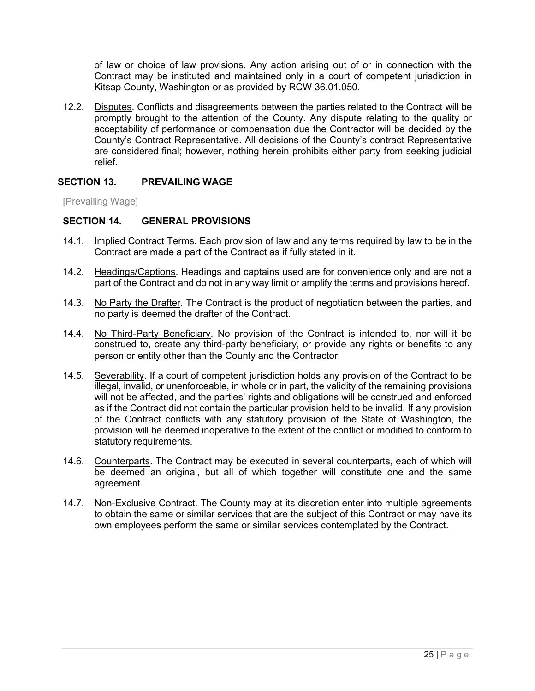of law or choice of law provisions. Any action arising out of or in connection with the Contract may be instituted and maintained only in a court of competent jurisdiction in Kitsap County, Washington or as provided by RCW 36.01.050.

12.2. Disputes. Conflicts and disagreements between the parties related to the Contract will be promptly brought to the attention of the County. Any dispute relating to the quality or acceptability of performance or compensation due the Contractor will be decided by the County's Contract Representative. All decisions of the County's contract Representative are considered final; however, nothing herein prohibits either party from seeking judicial relief.

## **SECTION 13. PREVAILING WAGE**

[Prevailing Wage]

#### **SECTION 14. GENERAL PROVISIONS**

- 14.1. Implied Contract Terms. Each provision of law and any terms required by law to be in the Contract are made a part of the Contract as if fully stated in it.
- 14.2. Headings/Captions. Headings and captains used are for convenience only and are not a part of the Contract and do not in any way limit or amplify the terms and provisions hereof.
- 14.3. No Party the Drafter. The Contract is the product of negotiation between the parties, and no party is deemed the drafter of the Contract.
- 14.4. No Third-Party Beneficiary. No provision of the Contract is intended to, nor will it be construed to, create any third-party beneficiary, or provide any rights or benefits to any person or entity other than the County and the Contractor.
- 14.5. Severability. If a court of competent jurisdiction holds any provision of the Contract to be illegal, invalid, or unenforceable, in whole or in part, the validity of the remaining provisions will not be affected, and the parties' rights and obligations will be construed and enforced as if the Contract did not contain the particular provision held to be invalid. If any provision of the Contract conflicts with any statutory provision of the State of Washington, the provision will be deemed inoperative to the extent of the conflict or modified to conform to statutory requirements.
- 14.6. Counterparts. The Contract may be executed in several counterparts, each of which will be deemed an original, but all of which together will constitute one and the same agreement.
- 14.7. Non-Exclusive Contract. The County may at its discretion enter into multiple agreements to obtain the same or similar services that are the subject of this Contract or may have its own employees perform the same or similar services contemplated by the Contract.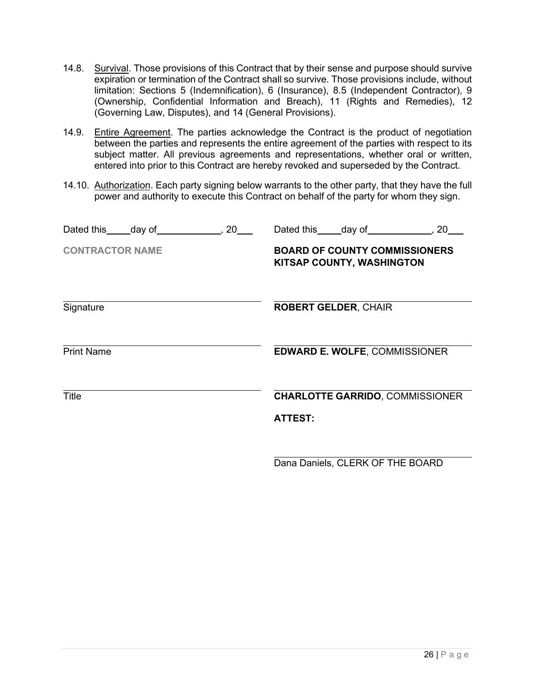- 14.8. Survival. Those provisions of this Contract that by their sense and purpose should survive expiration or termination of the Contract shall so survive. Those provisions include, without limitation: Sections 5 (Indemnification), 6 (Insurance), 8.5 (Independent Contractor), 9 (Ownership, Confidential Information and Breach), 11 (Rights and Remedies), 12 (Governing Law, Disputes), and 14 (General Provisions).
- 14.9. Entire Agreement. The parties acknowledge the Contract is the product of negotiation between the parties and represents the entire agreement of the parties with respect to its subject matter. All previous agreements and representations, whether oral or written, entered into prior to this Contract are hereby revoked and superseded by the Contract.
- 14.10. Authorization. Each party signing below warrants to the other party, that they have the full power and authority to execute this Contract on behalf of the party for whom they sign.

| 20<br>Dated this _____ day of | 20<br>Dated this day of                                           |
|-------------------------------|-------------------------------------------------------------------|
| <b>CONTRACTOR NAME</b>        | <b>BOARD OF COUNTY COMMISSIONERS</b><br>KITSAP COUNTY, WASHINGTON |
| Signature                     | <b>ROBERT GELDER, CHAIR</b>                                       |
| <b>Print Name</b>             | <b>EDWARD E. WOLFE, COMMISSIONER</b>                              |
| <b>Title</b>                  | <b>CHARLOTTE GARRIDO, COMMISSIONER</b>                            |
|                               | <b>ATTEST:</b>                                                    |
|                               |                                                                   |

Dana Daniels, CLERK OF THE BOARD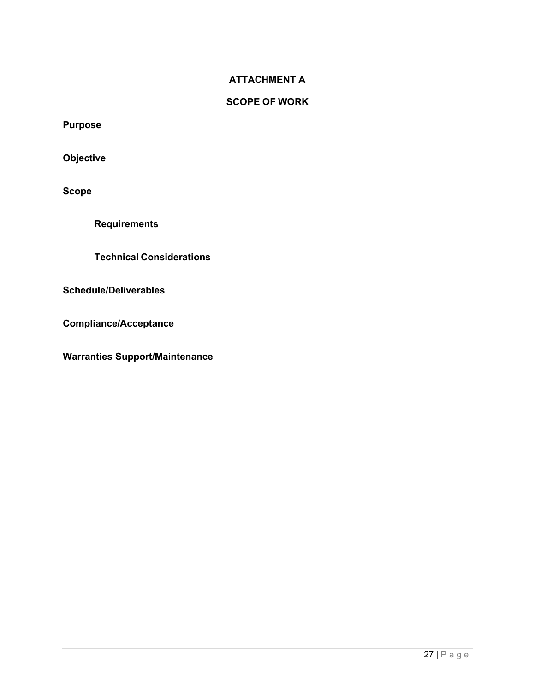## **ATTACHMENT A**

## **SCOPE OF WORK**

**Purpose**

**Objective**

**Scope**

**Requirements**

**Technical Considerations**

**Schedule/Deliverables**

**Compliance/Acceptance**

**Warranties Support/Maintenance**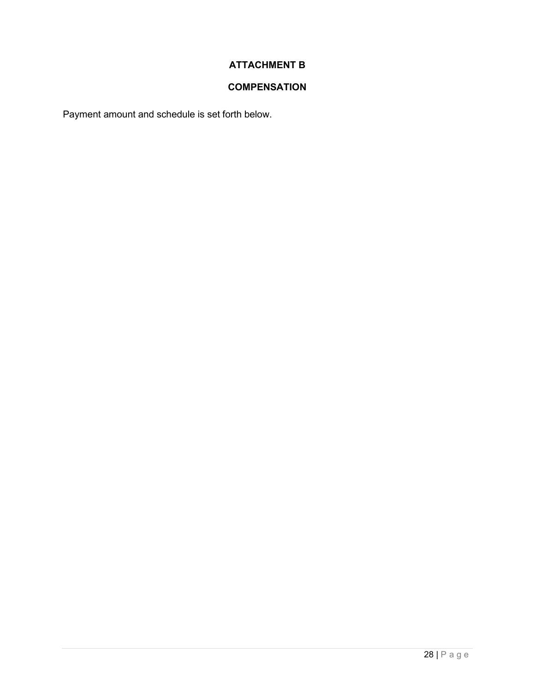## **ATTACHMENT B**

## **COMPENSATION**

Payment amount and schedule is set forth below.